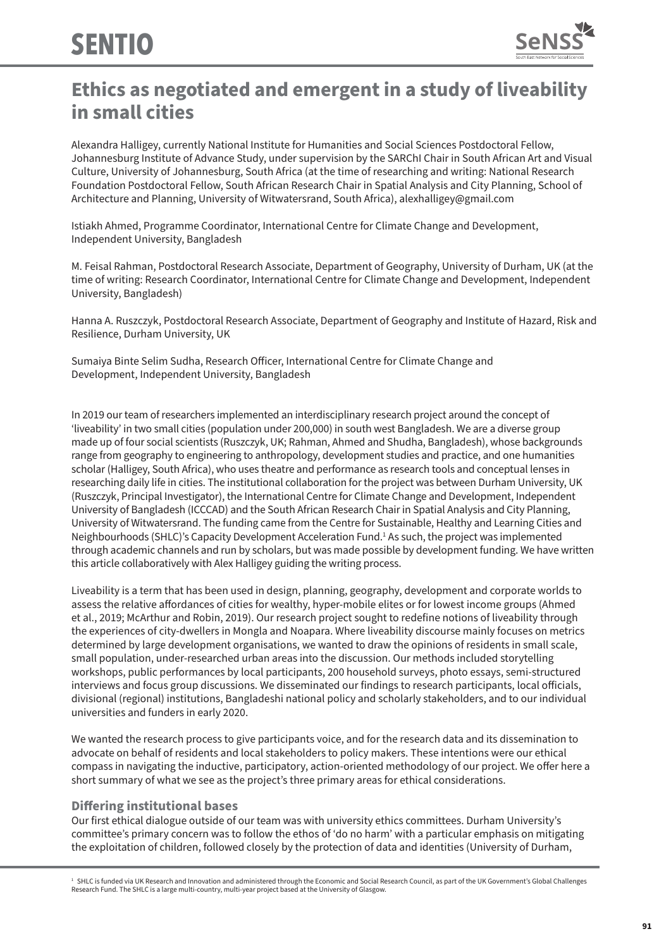

# **Ethics as negotiated and emergent in a study of liveability in small cities**

Alexandra Halligey, currently National Institute for Humanities and Social Sciences Postdoctoral Fellow, Johannesburg Institute of Advance Study, under supervision by the SARChI Chair in South African Art and Visual Culture, University of Johannesburg, South Africa (at the time of researching and writing: National Research Foundation Postdoctoral Fellow, South African Research Chair in Spatial Analysis and City Planning, School of Architecture and Planning, University of Witwatersrand, South Africa), alexhalligey@gmail.com

Istiakh Ahmed, Programme Coordinator, International Centre for Climate Change and Development, Independent University, Bangladesh

M. Feisal Rahman, Postdoctoral Research Associate, Department of Geography, University of Durham, UK (at the time of writing: Research Coordinator, International Centre for Climate Change and Development, Independent University, Bangladesh)

Hanna A. Ruszczyk, Postdoctoral Research Associate, Department of Geography and Institute of Hazard, Risk and Resilience, Durham University, UK

Sumaiya Binte Selim Sudha, Research Officer, International Centre for Climate Change and Development, Independent University, Bangladesh

In 2019 our team of researchers implemented an interdisciplinary research project around the concept of 'liveability' in two small cities (population under 200,000) in south west Bangladesh. We are a diverse group made up of four social scientists (Ruszczyk, UK; Rahman, Ahmed and Shudha, Bangladesh), whose backgrounds range from geography to engineering to anthropology, development studies and practice, and one humanities scholar (Halligey, South Africa), who uses theatre and performance as research tools and conceptual lenses in researching daily life in cities. The institutional collaboration for the project was between Durham University, UK (Ruszczyk, Principal Investigator), the International Centre for Climate Change and Development, Independent University of Bangladesh (ICCCAD) and the South African Research Chair in Spatial Analysis and City Planning, University of Witwatersrand. The funding came from the Centre for Sustainable, Healthy and Learning Cities and Neighbourhoods (SHLC)'s Capacity Development Acceleration Fund.<sup>1</sup> As such, the project was implemented through academic channels and run by scholars, but was made possible by development funding. We have written this article collaboratively with Alex Halligey guiding the writing process.

Liveability is a term that has been used in design, planning, geography, development and corporate worlds to assess the relative affordances of cities for wealthy, hyper-mobile elites or for lowest income groups (Ahmed et al., 2019; McArthur and Robin, 2019). Our research project sought to redefine notions of liveability through the experiences of city-dwellers in Mongla and Noapara. Where liveability discourse mainly focuses on metrics determined by large development organisations, we wanted to draw the opinions of residents in small scale, small population, under-researched urban areas into the discussion. Our methods included storytelling workshops, public performances by local participants, 200 household surveys, photo essays, semi-structured interviews and focus group discussions. We disseminated our findings to research participants, local officials, divisional (regional) institutions, Bangladeshi national policy and scholarly stakeholders, and to our individual universities and funders in early 2020.

We wanted the research process to give participants voice, and for the research data and its dissemination to advocate on behalf of residents and local stakeholders to policy makers. These intentions were our ethical compass in navigating the inductive, participatory, action-oriented methodology of our project. We offer here a short summary of what we see as the project's three primary areas for ethical considerations.

## **Differing institutional bases**

Our first ethical dialogue outside of our team was with university ethics committees. Durham University's committee's primary concern was to follow the ethos of 'do no harm' with a particular emphasis on mitigating the exploitation of children, followed closely by the protection of data and identities (University of Durham,

<sup>1</sup> SHLC is funded via UK Research and Innovation and administered through the Economic and Social Research Council, as part of the UK Government's Global Challenges Research Fund. The SHLC is a large multi-country, multi-year project based at the University of Glasgow.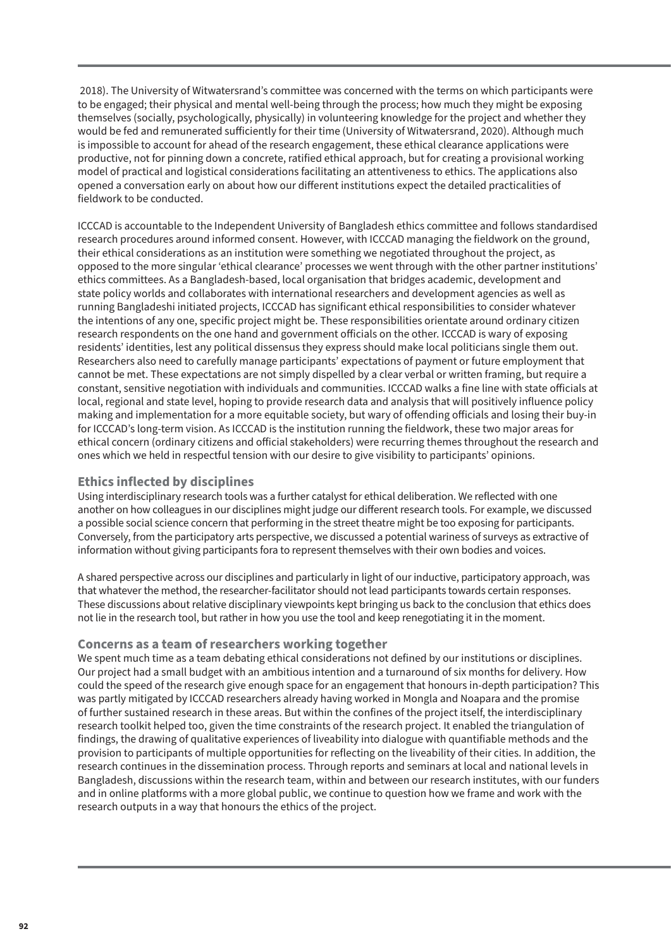2018). The University of Witwatersrand's committee was concerned with the terms on which participants were to be engaged; their physical and mental well-being through the process; how much they might be exposing themselves (socially, psychologically, physically) in volunteering knowledge for the project and whether they would be fed and remunerated sufficiently for their time (University of Witwatersrand, 2020). Although much is impossible to account for ahead of the research engagement, these ethical clearance applications were productive, not for pinning down a concrete, ratified ethical approach, but for creating a provisional working model of practical and logistical considerations facilitating an attentiveness to ethics. The applications also opened a conversation early on about how our different institutions expect the detailed practicalities of fieldwork to be conducted.

ICCCAD is accountable to the Independent University of Bangladesh ethics committee and follows standardised research procedures around informed consent. However, with ICCCAD managing the fieldwork on the ground, their ethical considerations as an institution were something we negotiated throughout the project, as opposed to the more singular 'ethical clearance' processes we went through with the other partner institutions' ethics committees. As a Bangladesh-based, local organisation that bridges academic, development and state policy worlds and collaborates with international researchers and development agencies as well as running Bangladeshi initiated projects, ICCCAD has significant ethical responsibilities to consider whatever the intentions of any one, specific project might be. These responsibilities orientate around ordinary citizen research respondents on the one hand and government officials on the other. ICCCAD is wary of exposing residents' identities, lest any political dissensus they express should make local politicians single them out. Researchers also need to carefully manage participants' expectations of payment or future employment that cannot be met. These expectations are not simply dispelled by a clear verbal or written framing, but require a constant, sensitive negotiation with individuals and communities. ICCCAD walks a fine line with state officials at local, regional and state level, hoping to provide research data and analysis that will positively influence policy making and implementation for a more equitable society, but wary of offending officials and losing their buy-in for ICCCAD's long-term vision. As ICCCAD is the institution running the fieldwork, these two major areas for ethical concern (ordinary citizens and official stakeholders) were recurring themes throughout the research and ones which we held in respectful tension with our desire to give visibility to participants' opinions.

## **Ethics inflected by disciplines**

Using interdisciplinary research tools was a further catalyst for ethical deliberation. We reflected with one another on how colleagues in our disciplines might judge our different research tools. For example, we discussed a possible social science concern that performing in the street theatre might be too exposing for participants. Conversely, from the participatory arts perspective, we discussed a potential wariness of surveys as extractive of information without giving participants fora to represent themselves with their own bodies and voices.

A shared perspective across our disciplines and particularly in light of our inductive, participatory approach, was that whatever the method, the researcher-facilitator should not lead participants towards certain responses. These discussions about relative disciplinary viewpoints kept bringing us back to the conclusion that ethics does not lie in the research tool, but rather in how you use the tool and keep renegotiating it in the moment.

## **Concerns as a team of researchers working together**

We spent much time as a team debating ethical considerations not defined by our institutions or disciplines. Our project had a small budget with an ambitious intention and a turnaround of six months for delivery. How could the speed of the research give enough space for an engagement that honours in-depth participation? This was partly mitigated by ICCCAD researchers already having worked in Mongla and Noapara and the promise of further sustained research in these areas. But within the confines of the project itself, the interdisciplinary research toolkit helped too, given the time constraints of the research project. It enabled the triangulation of findings, the drawing of qualitative experiences of liveability into dialogue with quantifiable methods and the provision to participants of multiple opportunities for reflecting on the liveability of their cities. In addition, the research continues in the dissemination process. Through reports and seminars at local and national levels in Bangladesh, discussions within the research team, within and between our research institutes, with our funders and in online platforms with a more global public, we continue to question how we frame and work with the research outputs in a way that honours the ethics of the project.